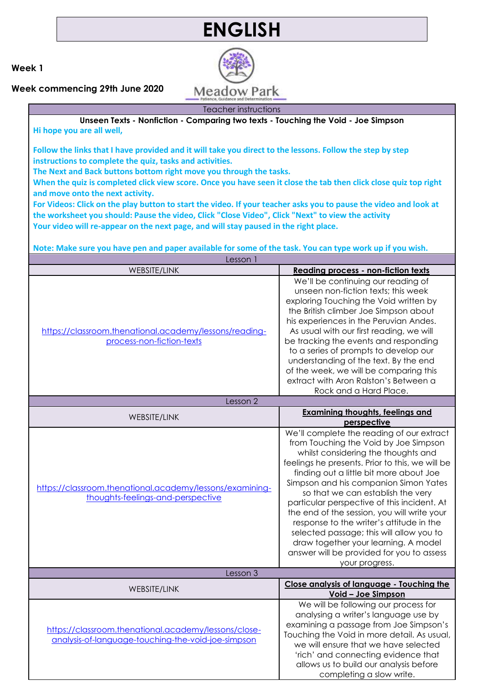## **ENGLISH**

**Week 1**

**Week commencing 29th June 2020**

Teacher instructions **Unseen Texts - Nonfiction - Comparing two texts - Touching the Void - Joe Simpson Hi hope you are all well,**

**Follow the links that I have provided and it will take you direct to the lessons. Follow the step by step instructions to complete the quiz, tasks and activities.** 

**The Next and Back buttons bottom right move you through the tasks.** 

**When the quiz is completed click view score. Once you have seen it close the tab then click close quiz top right and move onto the next activity.**

**For Videos: Click on the play button to start the video. If your teacher asks you to pause the video and look at the worksheet you should: Pause the video, Click "Close Video", Click "Next" to view the activity Your video will re-appear on the next page, and will stay paused in the right place.**

**Note: Make sure you have pen and paper available for some of the task. You can type work up if you wish.**

| Lesson 1                                                                                                   |                                                                                                                                                                                                                                                                                                                                                                                                                                                                                                                                                                                                    |  |
|------------------------------------------------------------------------------------------------------------|----------------------------------------------------------------------------------------------------------------------------------------------------------------------------------------------------------------------------------------------------------------------------------------------------------------------------------------------------------------------------------------------------------------------------------------------------------------------------------------------------------------------------------------------------------------------------------------------------|--|
| <b>WEBSITE/LINK</b>                                                                                        | <b>Reading process - non-fiction texts</b>                                                                                                                                                                                                                                                                                                                                                                                                                                                                                                                                                         |  |
| https://classroom.thenational.academy/lessons/reading-<br>process-non-fiction-texts                        | We'll be continuing our reading of<br>unseen non-fiction texts; this week<br>exploring Touching the Void written by<br>the British climber Joe Simpson about<br>his experiences in the Peruvian Andes.<br>As usual with our first reading, we will<br>be tracking the events and responding<br>to a series of prompts to develop our<br>understanding of the text. By the end<br>of the week, we will be comparing this<br>extract with Aron Ralston's Between a<br>Rock and a Hard Place.                                                                                                         |  |
| Lesson 2                                                                                                   |                                                                                                                                                                                                                                                                                                                                                                                                                                                                                                                                                                                                    |  |
| WEBSITE/LINK                                                                                               | <b>Examining thoughts, feelings and</b><br>perspective                                                                                                                                                                                                                                                                                                                                                                                                                                                                                                                                             |  |
| https://classroom.thenational.academy/lessons/examining-<br>thoughts-feelings-and-perspective              | We'll complete the reading of our extract<br>from Touching the Void by Joe Simpson<br>whilst considering the thoughts and<br>feelings he presents. Prior to this, we will be<br>finding out a little bit more about Joe<br>Simpson and his companion Simon Yates<br>so that we can establish the very<br>particular perspective of this incident. At<br>the end of the session, you will write your<br>response to the writer's attitude in the<br>selected passage; this will allow you to<br>draw together your learning. A model<br>answer will be provided for you to assess<br>your progress. |  |
| Lesson 3                                                                                                   |                                                                                                                                                                                                                                                                                                                                                                                                                                                                                                                                                                                                    |  |
| <b>WEBSITE/LINK</b>                                                                                        | Close analysis of language - Touching the<br>Void - Joe Simpson                                                                                                                                                                                                                                                                                                                                                                                                                                                                                                                                    |  |
| https://classroom.thenational.academy/lessons/close-<br>analysis-of-language-touching-the-void-joe-simpson | We will be following our process for<br>analysing a writer's language use by<br>examining a passage from Joe Simpson's<br>Touching the Void in more detail. As usual,<br>we will ensure that we have selected<br>'rich' and connecting evidence that<br>allows us to build our analysis before<br>completing a slow write.                                                                                                                                                                                                                                                                         |  |

**Meadow Park**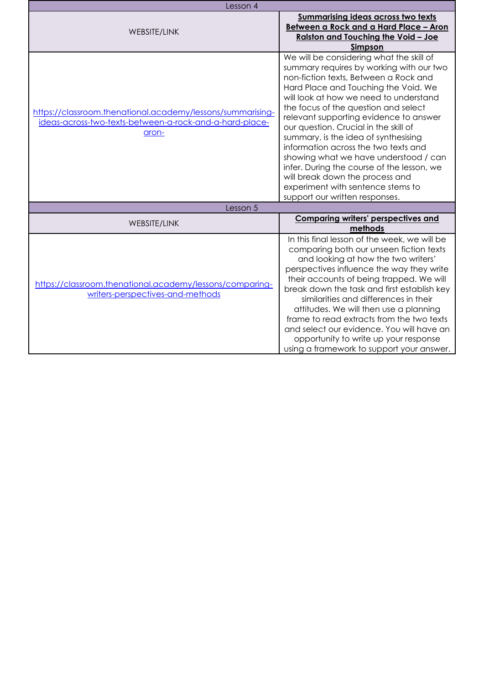| Lesson 4                                                                                                                       |                                                                                                                                                                                                                                                                                                                                                                                                                                                                                                                                                                                                                             |
|--------------------------------------------------------------------------------------------------------------------------------|-----------------------------------------------------------------------------------------------------------------------------------------------------------------------------------------------------------------------------------------------------------------------------------------------------------------------------------------------------------------------------------------------------------------------------------------------------------------------------------------------------------------------------------------------------------------------------------------------------------------------------|
| WEBSITE/LINK                                                                                                                   | <b>Summarising ideas across two texts</b><br>Between a Rock and a Hard Place - Aron<br>Ralston and Touching the Void - Joe<br>Simpson                                                                                                                                                                                                                                                                                                                                                                                                                                                                                       |
| https://classroom.thenational.academy/lessons/summarising-<br>ideas-across-two-texts-between-a-rock-and-a-hard-place-<br>aron- | We will be considering what the skill of<br>summary requires by working with our two<br>non-fiction texts, Between a Rock and<br>Hard Place and Touching the Void. We<br>will look at how we need to understand<br>the focus of the question and select<br>relevant supporting evidence to answer<br>our question. Crucial in the skill of<br>summary, is the idea of synthesising<br>information across the two texts and<br>showing what we have understood / can<br>infer. During the course of the lesson, we<br>will break down the process and<br>experiment with sentence stems to<br>support our written responses. |
| Lesson 5                                                                                                                       |                                                                                                                                                                                                                                                                                                                                                                                                                                                                                                                                                                                                                             |
| <b>WEBSITE/LINK</b>                                                                                                            | <b>Comparing writers' perspectives and</b><br>methods                                                                                                                                                                                                                                                                                                                                                                                                                                                                                                                                                                       |
| https://classroom.thenational.academy/lessons/comparing-<br>writers-perspectives-and-methods                                   | In this final lesson of the week, we will be<br>comparing both our unseen fiction texts<br>and looking at how the two writers'<br>perspectives influence the way they write<br>their accounts of being trapped. We will<br>break down the task and first establish key<br>similarities and differences in their<br>attitudes. We will then use a planning<br>frame to read extracts from the two texts<br>and select our evidence. You will have an<br>opportunity to write up your response<br>using a framework to support your answer.                                                                                   |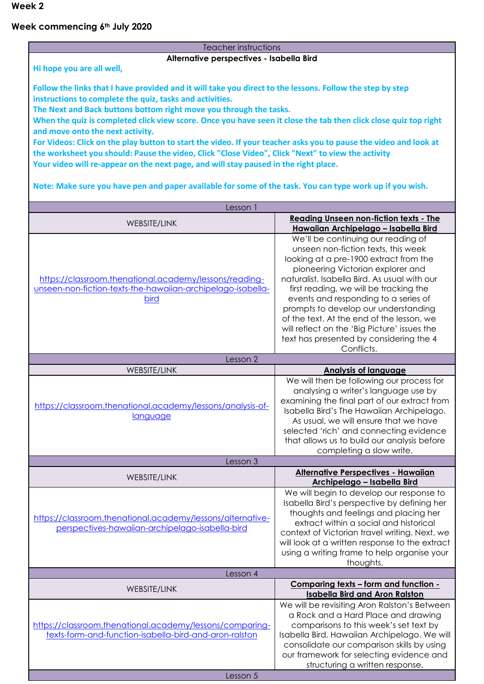**Week 2**

## **Week commencing 6th July 2020**

| Teacher instructions                                                                                             |                                                                                               |  |
|------------------------------------------------------------------------------------------------------------------|-----------------------------------------------------------------------------------------------|--|
| Alternative perspectives - Isabella Bird                                                                         |                                                                                               |  |
| Hi hope you are all well,                                                                                        |                                                                                               |  |
| Follow the links that I have provided and it will take you direct to the lessons. Follow the step by step        |                                                                                               |  |
| instructions to complete the quiz, tasks and activities.                                                         |                                                                                               |  |
| The Next and Back buttons bottom right move you through the tasks.                                               |                                                                                               |  |
| When the quiz is completed click view score. Once you have seen it close the tab then click close quiz top right |                                                                                               |  |
| and move onto the next activity.                                                                                 |                                                                                               |  |
| For Videos: Click on the play button to start the video. If your teacher asks you to pause the video and look at |                                                                                               |  |
| the worksheet you should: Pause the video, Click "Close Video", Click "Next" to view the activity                |                                                                                               |  |
| Your video will re-appear on the next page, and will stay paused in the right place.                             |                                                                                               |  |
| Note: Make sure you have pen and paper available for some of the task. You can type work up if you wish.         |                                                                                               |  |
| Lesson 1                                                                                                         |                                                                                               |  |
| WEBSITE/LINK                                                                                                     | <b>Reading Unseen non-fiction texts - The</b>                                                 |  |
|                                                                                                                  | Hawaiian Archipelago - Isabella Bird                                                          |  |
|                                                                                                                  | We'll be continuing our reading of<br>unseen non-fiction texts, this week                     |  |
|                                                                                                                  | looking at a pre-1900 extract from the                                                        |  |
|                                                                                                                  | pioneering Victorian explorer and                                                             |  |
| https://classroom.thenational.academy/lessons/reading-                                                           | naturalist, Isabella Bird. As usual with our                                                  |  |
| unseen-non-fiction-texts-the-hawaiian-archipelago-isabella-                                                      | first reading, we will be tracking the                                                        |  |
| <b>bird</b>                                                                                                      | events and responding to a series of<br>prompts to develop our understanding                  |  |
|                                                                                                                  | of the text. At the end of the lesson, we                                                     |  |
|                                                                                                                  | will reflect on the 'Big Picture' issues the                                                  |  |
|                                                                                                                  | text has presented by considering the 4                                                       |  |
| Lesson 2                                                                                                         | Conflicts.                                                                                    |  |
| WEBSITE/LINK                                                                                                     | <b>Analysis of language</b>                                                                   |  |
|                                                                                                                  |                                                                                               |  |
|                                                                                                                  | We will then be following our process for                                                     |  |
|                                                                                                                  | analysing a writer's language use by                                                          |  |
|                                                                                                                  | examining the final part of our extract from                                                  |  |
| https://classroom.thenational.academy/lessons/analysis-of-<br>language                                           | Isabella Bird's The Hawaiian Archipelago.                                                     |  |
|                                                                                                                  | As usual, we will ensure that we have                                                         |  |
|                                                                                                                  | selected 'rich' and connecting evidence<br>that allows us to build our analysis before        |  |
|                                                                                                                  | completing a slow write.                                                                      |  |
| Lesson 3                                                                                                         |                                                                                               |  |
| <b>WEBSITE/LINK</b>                                                                                              | <b>Alternative Perspectives - Hawaiian</b>                                                    |  |
|                                                                                                                  | Archipelago - Isabella Bird                                                                   |  |
|                                                                                                                  | We will begin to develop our response to<br>Isabella Bird's perspective by defining her       |  |
|                                                                                                                  | thoughts and feelings and placing her                                                         |  |
| https://classroom.thenational.academy/lessons/alternative-<br>perspectives-hawaiian-archipelago-isabella-bird    | extract within a social and historical                                                        |  |
|                                                                                                                  | context of Victorian travel writing. Next, we                                                 |  |
|                                                                                                                  | will look at a written response to the extract<br>using a writing frame to help organise your |  |
|                                                                                                                  | thoughts.                                                                                     |  |
| Lesson 4                                                                                                         |                                                                                               |  |
| WEBSITE/LINK                                                                                                     | Comparing texts - form and function -                                                         |  |
|                                                                                                                  | <b>Isabella Bird and Aron Ralston</b>                                                         |  |
|                                                                                                                  | We will be revisiting Aron Ralston's Between<br>a Rock and a Hard Place and drawing           |  |
| https://classroom.thenational.academy/lessons/comparing-                                                         | comparisons to this week's set text by                                                        |  |
| texts-form-and-function-isabella-bird-and-aron-ralston                                                           | Isabella Bird, Hawaiian Archipelago. We will                                                  |  |
|                                                                                                                  | consolidate our comparison skills by using                                                    |  |
|                                                                                                                  | our framework for selecting evidence and<br>structuring a written response.                   |  |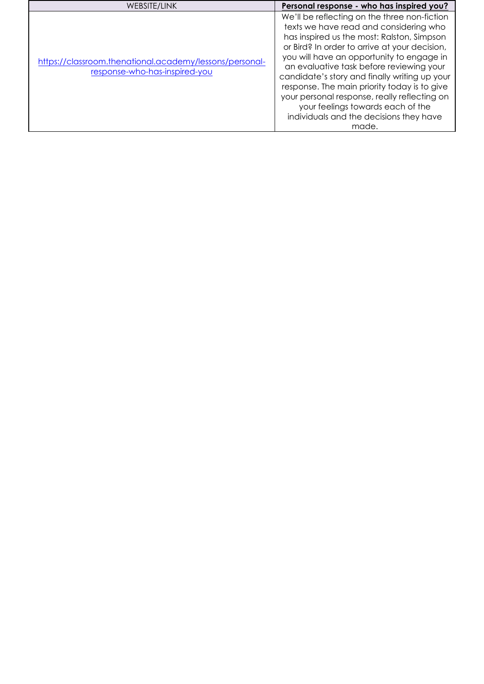| We'll be reflecting on the three non-fiction<br>texts we have read and considering who<br>has inspired us the most: Ralston, Simpson<br>or Bird? In order to arrive at your decision,<br>you will have an opportunity to engage in<br>https://classroom.thenational.academy/lessons/personal-<br>an evaluative task before reviewing your<br>response-who-has-inspired-you<br>candidate's story and finally writing up your<br>response. The main priority today is to give<br>your personal response, really reflecting on<br>your feelings towards each of the | WEBSITE/LINK | Personal response - who has inspired you? |
|------------------------------------------------------------------------------------------------------------------------------------------------------------------------------------------------------------------------------------------------------------------------------------------------------------------------------------------------------------------------------------------------------------------------------------------------------------------------------------------------------------------------------------------------------------------|--------------|-------------------------------------------|
| made.                                                                                                                                                                                                                                                                                                                                                                                                                                                                                                                                                            |              | individuals and the decisions they have   |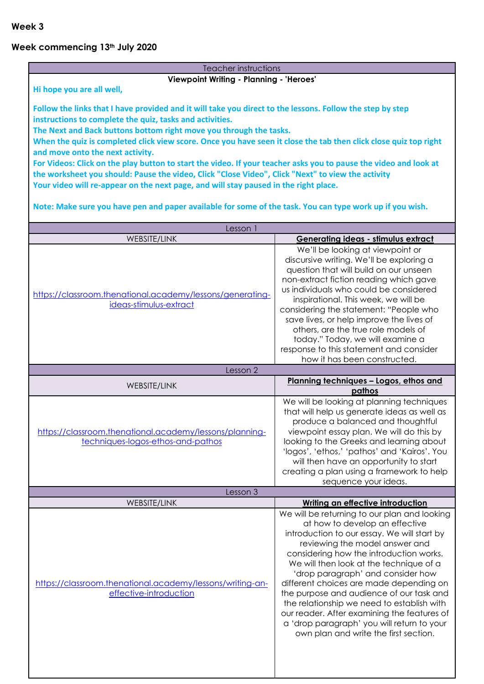## **Week commencing 13th July 2020**

| Teacher instructions                                                                                             |                                                                                           |  |
|------------------------------------------------------------------------------------------------------------------|-------------------------------------------------------------------------------------------|--|
| Viewpoint Writing - Planning - 'Heroes'                                                                          |                                                                                           |  |
| Hi hope you are all well,                                                                                        |                                                                                           |  |
| Follow the links that I have provided and it will take you direct to the lessons. Follow the step by step        |                                                                                           |  |
| instructions to complete the quiz, tasks and activities.                                                         |                                                                                           |  |
| The Next and Back buttons bottom right move you through the tasks.                                               |                                                                                           |  |
| When the quiz is completed click view score. Once you have seen it close the tab then click close quiz top right |                                                                                           |  |
| and move onto the next activity.                                                                                 |                                                                                           |  |
| For Videos: Click on the play button to start the video. If your teacher asks you to pause the video and look at |                                                                                           |  |
| the worksheet you should: Pause the video, Click "Close Video", Click "Next" to view the activity                |                                                                                           |  |
| Your video will re-appear on the next page, and will stay paused in the right place.                             |                                                                                           |  |
| Note: Make sure you have pen and paper available for some of the task. You can type work up if you wish.         |                                                                                           |  |
|                                                                                                                  |                                                                                           |  |
| Lesson 1                                                                                                         |                                                                                           |  |
| <b>WEBSITE/LINK</b>                                                                                              | Generating ideas - stimulus extract                                                       |  |
|                                                                                                                  | We'll be looking at viewpoint or                                                          |  |
|                                                                                                                  | discursive writing. We'll be exploring a                                                  |  |
|                                                                                                                  | question that will build on our unseen                                                    |  |
|                                                                                                                  | non-extract fiction reading which gave                                                    |  |
| https://classroom.thenational.academy/lessons/generating-                                                        | us individuals who could be considered                                                    |  |
| ideas-stimulus-extract                                                                                           | inspirational. This week, we will be<br>considering the statement: "People who            |  |
|                                                                                                                  | save lives, or help improve the lives of                                                  |  |
|                                                                                                                  | others, are the true role models of                                                       |  |
|                                                                                                                  | today." Today, we will examine a                                                          |  |
|                                                                                                                  | response to this statement and consider                                                   |  |
|                                                                                                                  | how it has been constructed.                                                              |  |
| Lesson 2                                                                                                         |                                                                                           |  |
|                                                                                                                  |                                                                                           |  |
| <b>WEBSITE/LINK</b>                                                                                              | Planning techniques - Logos, ethos and                                                    |  |
|                                                                                                                  | pathos                                                                                    |  |
|                                                                                                                  | We will be looking at planning techniques                                                 |  |
|                                                                                                                  | that will help us generate ideas as well as                                               |  |
| https://classroom.thenational.academy/lessons/planning-                                                          | produce a balanced and thoughtful                                                         |  |
| techniques-logos-ethos-and-pathos                                                                                | viewpoint essay plan. We will do this by<br>looking to the Greeks and learning about      |  |
|                                                                                                                  | 'logos', 'ethos,' 'pathos' and 'Kairos'. You                                              |  |
|                                                                                                                  | will then have an opportunity to start                                                    |  |
|                                                                                                                  | creating a plan using a framework to help                                                 |  |
|                                                                                                                  | sequence your ideas.                                                                      |  |
| Lesson 3                                                                                                         |                                                                                           |  |
| WEBSITE/LINK                                                                                                     | Writing an effective introduction                                                         |  |
|                                                                                                                  | We will be returning to our plan and looking                                              |  |
|                                                                                                                  | at how to develop an effective<br>introduction to our essay. We will start by             |  |
|                                                                                                                  | reviewing the model answer and                                                            |  |
|                                                                                                                  | considering how the introduction works.                                                   |  |
|                                                                                                                  | We will then look at the technique of a                                                   |  |
|                                                                                                                  | 'drop paragraph' and consider how                                                         |  |
| https://classroom.thenational.academy/lessons/writing-an-                                                        | different choices are made depending on                                                   |  |
| effective-introduction                                                                                           | the purpose and audience of our task and                                                  |  |
|                                                                                                                  | the relationship we need to establish with                                                |  |
|                                                                                                                  | our reader. After examining the features of<br>a 'drop paragraph' you will return to your |  |
|                                                                                                                  | own plan and write the first section.                                                     |  |
|                                                                                                                  |                                                                                           |  |